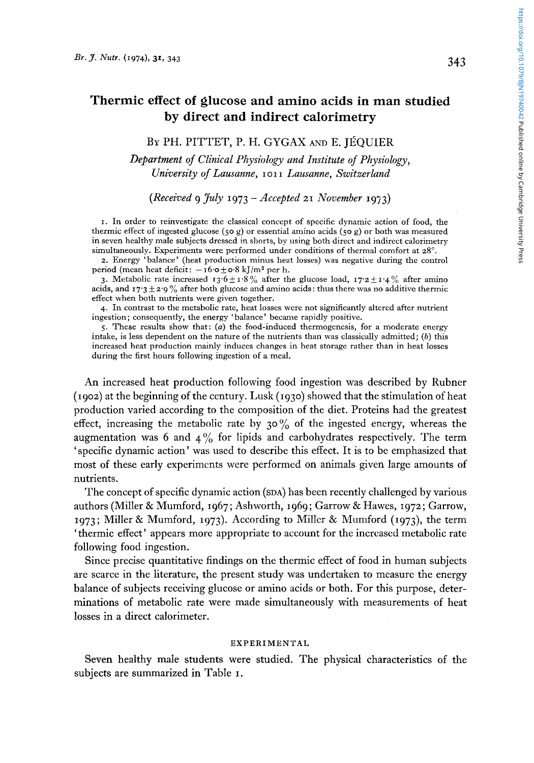## **Thermic effect of glucose and amino acids in man studied by direct and indirect calorimetry**

### BY PH. PITTET, P. H. GYGAX **AND** E. JEQUIER

*Department of Clinical Physiology and Institute of Physiology, University of Lausanne, 1011 Lausanne, Switzerland* 

*(Received* 9 *July* 1973 *-Accepted* **21** *November* 1933)

I. In order to reinvestigate the classical concept of specific dynamic action of food, the thermic effect of ingested glucose **(jo g)** or essential amino acids *(50* g) or both was measured in seven healthy male subjects dressed in shorts, by using both direct and indirect calorimetry simultaneously. Experiments were performed under conditions of thermal comfort at *28".* 

*2.* Energy 'balance' (heat production minus heat losses) was negative during the control period (mean heat deficit:  $-16.0 \pm 0.8$  kJ/m<sup>2</sup> per h.

**3.** Metabolic rate increased **13.6**  $\pm$  **1.8** % after the glucose load, **17.2**  $\pm$  **1.4** % after amino acids, and  $17.3 \pm 2.9 \%$  after both glucose and amino acids: thus there was no additive thermic effect when both nutrients were given together.

**4.** In contrast to the metabolic rate, heat losses were not significantly altered after nutrient ingestion; consequently, the energy 'balance' became rapidly positive.

5. These results show that: *(a)* the food-induced thermogenesis, for a moderate energy intake, is less dependent on the nature of the nutrients than was classically admitted; *(b)* this increased heat production mainly induces changes in heat storage rather than in heat losses during the first hours following ingestion of a meal.

An increased heat production following food ingestion was described by Rubner (1902) at the beginning of the century. **Lusk** (1930) showed that the stimulation of heat production varied according to the composition of the diet. Proteins had the greatest effect, increasing the metabolic rate by  $30\%$  of the ingested energy, whereas the augmentation was 6 and **4%** for lipids and carbohydrates respectively. The term 'specific dynamic action' was used to describe this effect. It is to be emphasized that most **of** these early experiments were performcd on animals given large amounts of nutrients.

The concept of specific dynamic action **(SDA)** has been recently challenged by various authors (Miller & Mumford, 1967; Ashworth, 1969; Garrow & Hawes, 1972; Garrow, 1973; Miller & Mumford, 1973). According to Miller & Mumford (1973), the term ' thermic effect' appears more appropriate to account for the incrcased metabolic rate following food ingestion.

Since precise quantitative findings on the thermic effect of food in human subjects are scarce in the literature, the present study was undertaken to measurc the energy balance of subjects receiving glucose or amino acids or both. For this purpose, determinations of metabolic rate were made simultaneously with measurements of heat losses in a direct calorimeter.

#### **EXPERIMENTAL**

Seven healthy male students were studied. The physical characteristics of the subjects are summarized in Table I.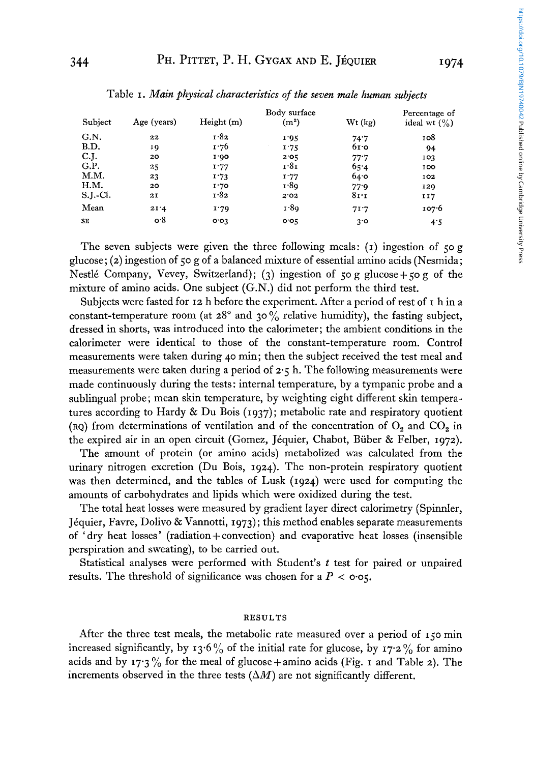|            |                           |           | Percentage of     |           |                 |
|------------|---------------------------|-----------|-------------------|-----------|-----------------|
| Subject    | Age (years)               | Height(m) | (m <sup>2</sup> ) | $Wt$ (kg) | ideal wt $(\%)$ |
| G.N.       | 22                        | r·82      | 1.95              | 74.7      | 108             |
| B.D.       | 19                        | 1.76      | 1.75              | $6r$ o    | 94              |
| C.J.       | 20                        | 1.00      | 2.05              | 77.7      | 103             |
| G.P.       | 25                        | 1.77      | 1.81              | 65.4      | 100             |
| M.M.       | 23                        | 1.73      | 1.77              | 64.0      | 102             |
| H.M.       | 20                        | 1.70      | 1.89              | 77.9      | 129             |
| $S.J.-Cl.$ | 21                        | 1.82      | 2.02              | 81.1      | <b>II7</b>      |
| Mean       | 21.4                      | 1.79      | 1.8 <sub>9</sub>  | 71.7      | 107.6           |
| <b>SE</b>  | $\mathbf{o}$ $\mathbf{8}$ | 0.03      | 0.05              | $3^\circ$ | 4.5             |

Table I. *Main physical characteristics of the seven male human subjects* 

The seven subjects were given the three following meals: **(I)** ingestion of 5og glucose; *(2)* ingestion of **50** g of a balanced mixture of essential amino acids (Nesmida; Nest16 Company, Vevey, Switzerland); *(3)* ingestion of 50 g glucose+ 50 *g* of the mixture of amino acids. One subject (G.N.) did not perform the third test.

Subjects were fasted for 12 h before the experiment. After a period of rest of I h in a constant-temperature room (at **28"** and 30 % relative humidity), the fasting subject, dressed in shorts, was introduced into the calorimeter ; the ambient conditions in the calorimeter were identical to those of the constant-temperature room. Control measurements were taken during **40** min; then the subject received the test meal and measurements were taken during a period of  $2.5$  h. The following measurements were made continuously during the tests: internal temperature, by a tympanic probe and a sublingual probe; mean skin temperature, by weighting eight different skin temperatures according to Hardy & Du Bois **(1937)** ; metabolic rate and respiratory quotient (RQ) from determinations of ventilation and of the concentration of  $O_2$  and  $CO_2$  in the expired air in an open circuit (Gomez, Jéquier, Chabot, Büber & Felber, **1972**).

The amount of protein (or amino acids) metabolized was calculated from the urinary nitrogen excretion (Du Bois, **1924).** The non-protein respiratory quotient was then determined, and the tables of Lusk **(1924)** were used for computing the amounts of carbohydrates and lipids which were oxidized during the test.

The total heat losses were measured by gradient layer direct calorimetry (Spinnler, Jéquier, Favre, Dolivo & Vannotti, **1973**); this method enables separate measurements of ' dry heat losses' (radiation + convection) and evaporative heat losses (insensible perspiration and sweating), to be carried out.

Statistical analyses were performed with Student's *t* test for paired or unpaired results. The threshold of significance was chosen for a *P* < *0.05.* 

### RESULTS

After the three test meals, the metabolic rate measured over a period of **150** min increased significantly, by  $13.6\%$  of the initial rate for glucose, by  $17.2\%$  for amino acids and by **17.3** % for the meal of glucose+amino acids (Fig. **I** and Table **2).** The increments observed in the three tests  $(\Delta M)$  are not significantly different,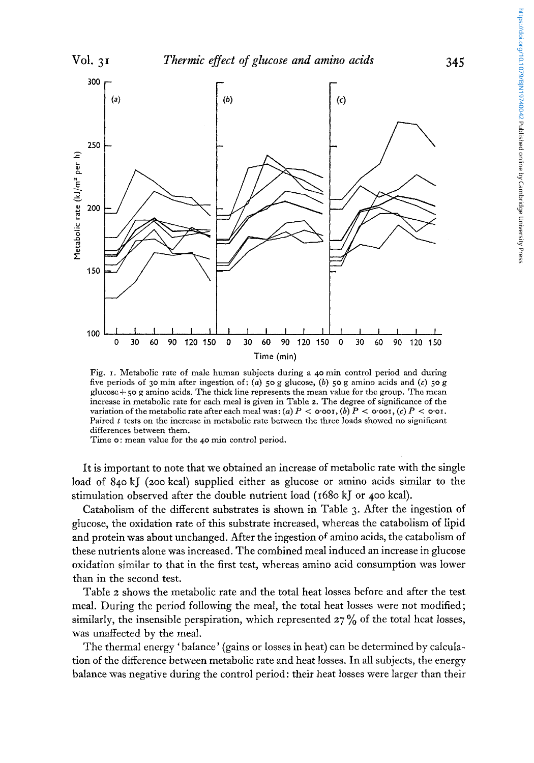

**Fig. I.** Metabolic rate of male human subjects during a 40 min control period and during five periods of 30 min after ingestion of: **(a) jo** g glucose, *(b)* jo g amino acids and **(c)** *50 g*  glucose + *<sup>50</sup>g* amino acids. The thick line represents the mean value for the **group.** The mean increase in metabolic rate for each meal **is** given in Table *2.* The degree of significance of the variation of the metabolic rate after each meal was: (a)  $P < \text{o}\text{-}\text{o}\text{-}\text{o}\text{r}$ , (b)  $P < \text{o}\text{-}\text{o}\text{-}\text{o}\text{r}$ , (c)  $P < \text{o}\text{-}\text{o}\text{-}\text{r}$ . Paired *t* tests on the increase in metabolic rate between the three loads showed no significant differences between them.

Time o: mean value for the 40 min control period.

It is important to note that we obtained an increase of metabolic rate with the single load of 840 **kJ** *(zoo* kcal) supplied either as glucose or amino acids similar to the stimulation observed after the double nutrient load (1680 **kJ** or 400 kcal).

Catabolism of the different substrates is shown in Table *3.* After the ingestion of glucose, the oxidation rate of this substrate increased, whereas the catabolism of lipid and protein was about unchanged. After the ingestion **of** amino acids, the catabolism of these nutrients alone was increased. The combined meal induced an increase in glucose oxidation similar to that in the first test, whereas amino acid consumption was lower than in the second test.

Table *z* shows the metabolic rate and the total heat losses before and after the test meal. During the period following the meal, the total heat losses were not modified; similarly, the insensible perspiration, which represented  $27\%$  of the total hcat losses, was unaffected by the meal.

The thermal energy ' balance' (gains or losses in heat) can be determined by calculation of the difference between metabolic rate and heat losses. In all subjects, the energy balance was negative during the control period: their heat losses were larger than their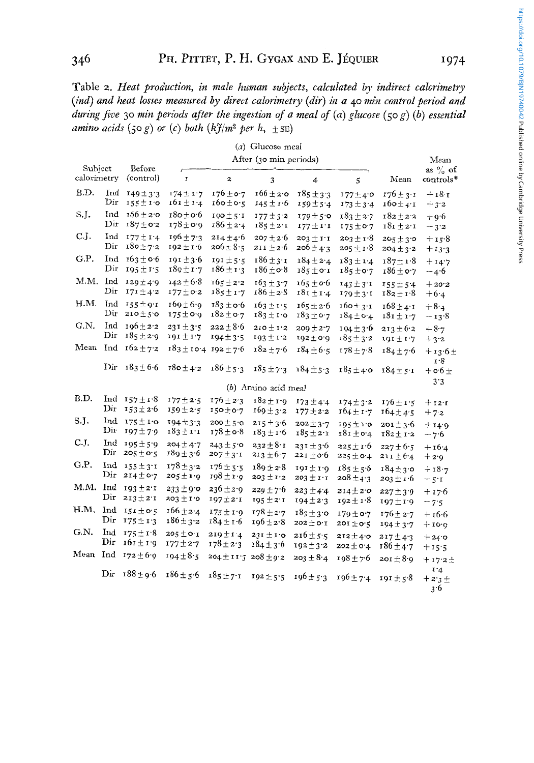Table 2. Heat production, in male human subjects, calculated by indirect calorimetry (ind) and heat losses measured by direct calorimetry (dir) in a 40 min control period and during five 30 min periods after the ingestion of a meal of (a) glucose (50 g)  $(b)$  essential amino acids (50 g) or (c) both (kf/m<sup>2</sup> per h,  $\pm$  SE)

|                        |                |                                |                                |                                | (a) Glucose meal<br>After (30 min periods) |                                |                                |                             | Mean                    |
|------------------------|----------------|--------------------------------|--------------------------------|--------------------------------|--------------------------------------------|--------------------------------|--------------------------------|-----------------------------|-------------------------|
| Subject<br>calorimetry |                | Before<br>(control)            | $\mathbf{I}$                   | $\mathbf{z}$                   | 3                                          | 4                              | 5                              | ${\bf Mean}$                | as $\%$ of<br>controls* |
| B.D.                   | Ind            | $149 \pm 3.3$                  | $174 \pm 1.7$                  | $176 \pm 0.7$                  | $166 + 20$                                 | $185 \pm 3.3$                  | $177 + 40$                     | $176 \pm 3.1$               | $+18.1$                 |
|                        | Dir            | $155 \pm 1.0$                  | $161 \pm 1.4$                  | $160 \pm 0.5$                  | $145 \pm 1.6$                              | $159 + 54$                     | $173 \pm 3.4$                  | $160 \pm 4.1$               | $+3.2$                  |
| S.J.                   | Ind            | $166 \pm 2$ o                  | $180 + 6.6$                    | $190 \pm 5.1$                  | $177 \pm 3.2$                              | $179 \pm 5.0$                  | $183 \pm 2.7$                  | $182 + 2.2$                 | $+9.6$                  |
|                        | Dir            | $187 \pm 0.2$                  | $178 \pm 0.9$                  | $186 \pm 2.4$                  | $185 \pm 2.1$                              | $177 \pm 1.1$                  | $175 + 0.7$                    | 181±2·1                     | $-3.2$                  |
| C.J.                   | Ind            | $177 \pm 1.4$                  | $196 \pm 7.3$                  | $214 \pm 4.6$                  | $207 \pm 2.6$                              | $203 \pm 1$ <sup>t</sup>       | $203 \pm 1.8$                  | $205 \pm 3.0$               | $+15.8$                 |
|                        | Dir            | $180 \pm 7.2$                  | $192 \pm 1.6$                  | $206 \pm 8.5$                  | $211 \pm 2.6$                              | $206 \pm 4.3$                  | $205 \pm 1.8$                  | $204 \pm 3.2$               | $+13.3$                 |
| G.P.                   | Ind            | $163 \pm 0.6$                  | $191 \pm 3.6$                  | $191 \pm 5.5$                  | $186 \pm 3.1$                              | $184 \pm 24$                   | $183 \pm 14$                   | $187 \pm 1.8$               | $+14.7$                 |
|                        | Dir            | $195 \pm 1.5$                  | $189 \pm 1.7$                  | $186 + 1.3$                    | $186 \pm 0.8$                              | $185 \pm 0.1$                  | $185 \pm 0.7$                  | $186 \pm 0.7$               | $-4.6$                  |
| M.M. Ind               | Dir            | $129 \pm 4.9$<br>$171 \pm 4.2$ | $142 \pm 6.8$<br>$177 \pm 0.2$ | $165 \pm 2.2$<br>$185 \pm 1.7$ | $163 \pm 3.7$<br>$186 \pm 2.8$             | $165 \pm 0.6$<br>$181 \pm 1.4$ | $143 \pm 3.1$<br>$179 \pm 3.1$ | $155 \pm 5.4$<br>$182 + 18$ | $+20.2$<br>$+6.4$       |
| H.M.                   | Ind            | $155 \pm 9.1$                  | $169 \pm 6.9$                  | $183 \pm 0.6$                  | $163 \pm 1.5$                              | $165 \pm 2.6$                  | $160 + 3.1$                    | $168 \pm 4.1$               | $+8.4$                  |
|                        | Dir            | $210 \pm 50$                   | $175 \pm 0.9$                  | $182 \pm 0.7$                  | $183 \pm 1.0$                              | $183 \pm 0.7$                  | $184 \pm 0.4$                  | $181 \pm 1.7$               | $-13.8$                 |
| G.N.                   | Ind            | $196 \pm 2.2$                  | $231 \pm 3.5$                  | $222 \pm 8.6$                  | $210 + 12$                                 | $209 \pm 2.7$                  | $194 \pm 3.6$                  | $213 \pm 6.2$               | $+8.7$                  |
|                        | $\mathbf{Dir}$ | $185 \pm 2.9$                  | $191 \pm 1.7$                  | $194 \pm 3.5$                  | $193 \pm 1.2$                              | $192 \pm 0.0$                  | $185 \pm 3.2$                  | $191 \pm 1.7$               | $+3.2$                  |
| Mean                   | Ind            | $162 + 7.2$                    | $183 \pm 10.4$ $192 \pm 7.6$   |                                | $182 + 7.6$                                | $184 + 6.5$                    | $178 \pm 7.8$                  | $184 \pm 7.6$               | $+$ 13.6 $\pm$<br>1.8   |
|                        | Dir            | $183 \pm 6.6$                  | $180 \pm 4.2$                  | $186 \pm 5.3$                  | $185 \pm 7.3$                              | $184 \pm 5.3$                  | $185 \pm 4.0$                  | $184 \pm 5.1$               | $+ \circ 6 +$<br>3.3    |
|                        |                |                                |                                |                                | (b) Amino acid meal                        |                                |                                |                             |                         |
| B.D.                   | Ind            | $157 \pm 1.8$                  | $177 + 2.5$                    | $176 \pm 2.3$                  | $182 \pm 1.9$                              | $173 \pm 4.4$                  | $174 \pm 3.2$                  | $176 \pm 1.5$               | $+12.7$                 |
|                        | Dir            | $153 \pm 2.6$                  | $159 \pm 2.5$                  | $150 \pm 0.7$                  | $169 \pm 3.2$                              | $177 + 22$                     | $164 \pm 1.7$                  | $164 \pm 4.5$               | $+7.2$                  |
| S.J.                   | Ind            | $175 \pm 10$                   | $194 \pm 3.3$                  | $200 + 50$                     | $215 \pm 3.6$                              | $202 + 3.7$                    | $105 \pm 10$                   | $201 + 3.6$                 | $+14.9$                 |
|                        | Dir            | 197±7.9                        | $183 \pm 1.1$                  | $178 \pm 0.8$                  | $183 \pm 1.6$                              | $185 \pm 2.1$                  | $181 \pm 0.4$                  | $182 \pm 1.2$               | $-7.6$                  |
| C.J.                   | $_{\rm Ind}$   | $195 \pm 5.9$                  | $204 \pm 4.7$                  | $243 \pm 5$ o                  | $232 \pm 8.1$                              | $231 \pm 3.6$                  | $225 \pm 1.6$                  | $227 + 6.5$                 | $+16.4$                 |
|                        | Dir            | $205 \pm 0.5$                  | $189 \pm 3.6$                  | $207 \pm 3.1$                  | $213 \pm 6.7$                              | $221 \pm 0.6$                  | $225 \pm 0.4$                  | $211 \pm 6.4$               | $+2.9$                  |
| G.P.                   | Ind            | $155 \pm 3.1$                  | $178 + 32$                     | $176 \pm 5.5$                  | $189 + 2.8$                                | $0.1 \pm 1.01$                 | $185 \pm 5.6$                  | $184 \pm 3.0$               | $+18.7$                 |
|                        | Dir            | $2I4 \pm 0.7$                  | $205 \pm 1.9$                  | $198 \pm 1.9$                  | $203 \pm 12$                               | $203 \pm i$                    | $208 \pm 4.3$                  | $203 \pm 1.6$               | $-5r$                   |
| M.M.                   | Ind            | $193 \pm 2.7$                  | $233 \pm 9.0$                  | $236 \pm 2.9$                  | $229 + 7.6$                                | $223 + 44$                     | $214 + 20$                     | $227 + 3.9$                 | $+17.6$                 |
|                        | Dir            | $213 \pm 21$                   | $203 \pm 1.0$                  | $197 \pm 2.1$                  | $195 \pm 2.1$                              | $194 \pm 2.3$                  | $192 \pm 1.8$                  | $197 \pm 1.9$               | $-7.5$                  |
| H.M.                   | Ind            | $151 \pm 0.5$                  | $166 \pm 2.4$                  | $175 \pm 1.9$                  | $178 \pm 2.7$                              | $183 \pm 3$ o                  | $179 \pm 0.7$                  | $176 \pm 2.7$               | $+16.6$                 |
|                        | Dir            | $175 \pm 1.3$                  | $186 \pm 3.2$                  | $184 \pm 1.6$                  | $196 \pm 2.8$                              | $202 + 0.1$                    | $201 \pm 0.5$                  | $194 + 3.7$                 | $+10.0$                 |
| G.N.                   | Ind            | $175 \pm 1.8$                  | $205 \pm 0.1$                  | $219 \pm 1.4$                  | $231 \pm 1.0$                              | $216 \pm 5.5$                  | $212 \pm 40$                   | $217 + 43$                  | $+24.0$                 |
|                        | Dir            | $16i \pm i$                    | $177 + 2.7$                    | $178 \pm 2.3$                  | $184 \pm 3.6$                              | $192 + 3.2$                    | $202 \pm 0.4$                  | $186 \pm 4.7$               | $+15.5$                 |
| Mean                   | Ind            | $172 \pm 6.9$                  | $194 \pm 8.5$                  | $204 \pm 113$                  | $208 \pm 9.2$                              | $203 + 8.4$                    | $198 \pm 7.6$                  | $201 \pm 8.9$               | $+17.2 \pm$             |
|                        | $\mathbf{Dir}$ | $188 + 9.6$                    | $186 \pm 5.6$                  | $185 \pm 7.1$                  | $192 \pm 5.5$                              | $196 \pm 5.3$                  | $196 \pm 7.4$                  | $191 \pm 5.8$               | 1.4<br>$+2.3 +$<br>3.6  |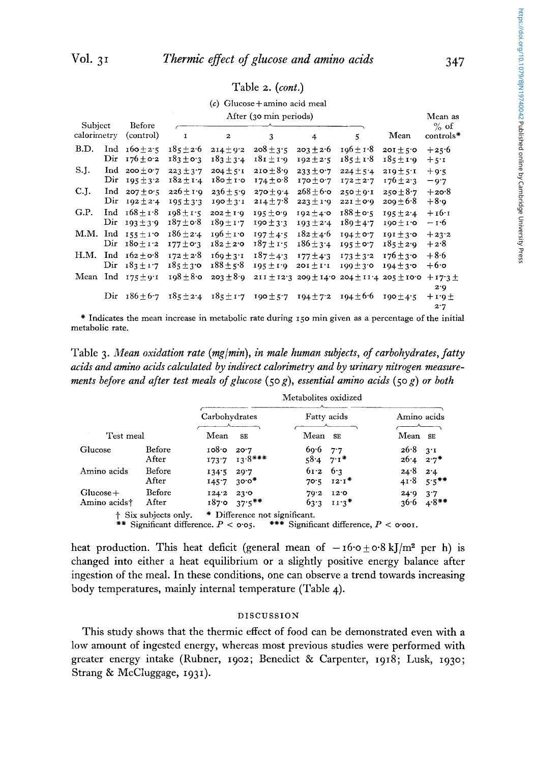Table *2. (cont.)* 

|                        |              |                     |               |                  | $(c)$ Glucose + amino acid meal |                |                           |                |                      |
|------------------------|--------------|---------------------|---------------|------------------|---------------------------------|----------------|---------------------------|----------------|----------------------|
| After (30 min periods) |              |                     |               |                  |                                 |                |                           |                | Mean as              |
| Subject<br>calorimetry |              | Before<br>(control) | 1             | $\boldsymbol{2}$ | 3                               | $\overline{4}$ | 5                         | Mean           | $%$ of<br>controls*  |
| B.D.                   | Ind          | $160 \pm 2.5$       | $185 \pm 2.6$ | $214 + 92$       | $208 \pm 3.5$                   | $203 + 2.6$    | $196 \pm 1.8$             | $201 \pm 50$   | $+25.6$              |
|                        | Dir          | $176 \pm 0.2$       | $183 \pm 0.3$ | $183 \pm 3.4$    | $181 \pm 1$                     | $192 \pm 2.5$  | $185 \pm 1.8$             | $185 \pm 1.9$  | $+5.1$               |
| SJ.                    | Ind          | $200 + 0.7$         | $223 \pm 3.7$ | $204 \pm 5$ 'I   | $210 \pm 8.9$                   | $233 + 0.7$    | $224 + 54$                | $210 + 51$     | $+9.5$               |
|                        | Dir          | $195 \pm 3.2$       | $182 \pm 14$  | 180±1.0          | $174 \pm 0.8$                   | $170 \pm 0.7$  | $172 + 2.7$               | $176 \pm 2.3$  | $-9.7$               |
| C.J.                   | Ind          | $207 + 0.5$         | $226 + 1.9$   | $236 \pm 5.9$    | $270 + 9.4$                     | $268 + 6$ o    | $250 + 9.1$               | $250 + 8.7$    | $+20.8$              |
|                        | Dir          | $192 + 24$          | $195 \pm 3.3$ | $190 + 3.1$      | $214 \pm 7.8$                   | $223 \pm 1.9$  | $221 \pm 0.09$            | $200 \pm 6.8$  | $+8.9$               |
| G.P.                   | Ind          | $168 + 1.8$         | $198 \pm 1.5$ | $202 + I'$       | $195 \pm 0.0$                   | $192 + 40$     | $188 \pm 0.5$             | $195 \pm 2.4$  | $+16.1$              |
|                        | Dir          | $193 \pm 3.9$       | $187 + 0.8$   | $189 \pm 1.7$    | $190 \pm 3.3$                   | $193 \pm 2.4$  | $189 \pm 4.7$             | $0.1 \pm 0.01$ | - 16                 |
| M.M.                   | Ind          | $155 \pm 1.0$       | $186 \pm 24$  | $196 + 10$       | $197 + 4.5$                     | $182 \pm 4.6$  | $194 \pm 0.7$             | $191 \pm 3.0$  | $+23.2$              |
|                        | Dir          | $180 \pm 1.2$       | $177 \pm 0.3$ | $182 \pm 20$     | $187 \pm 1.5$                   | $186 \pm 3.4$  | $195 \pm 0.7$             | $185 \pm 2.9$  | $+2.8$               |
| H.M.                   | Ind          | $162 + 0.8$         | $172 + 2.8$   | $169 + 3.1$      | $187 \pm 4.3$                   | 177土43         | $173 \pm 3.2$             | $176 \pm 3.0$  | $+8.6$               |
|                        | $_{\rm Dir}$ | $183 \pm 1.7$       | $185 \pm 3$ o | $188 \pm 5.8$    | $195 \pm 1.9$                   | $201 \pm 1$ 'I | $199 \pm 3.0$             | $194 \pm 3.0$  | $+6.0$               |
| Mean                   | Ind          | 175±9'1             | $198 \pm 8$ . | $203 + 8.9$      | $211 \pm 123$                   |                | $200 \pm 1402204 \pm 114$ | $205 \pm 100$  | $+17.3 \pm$<br>2.0   |
|                        | Dir.         | $186 \pm 6.7$       | $185 \pm 2.4$ | $185 \pm 1.7$    | $190 \pm 5.7$                   | $194 \pm 72$   | $194 \pm 6.6$             | $190 + 4.5$    | $+$ 1.9 $\pm$<br>2.7 |

Table **3.** *Mean oxidation rate (mgimin), in male human subjects, of carbohydrates, fatty*  acids and amino acids calculated by indirect calorimetry and by urinary nitrogen measure*ments before and after test meals of glucose (50g), essential amino acids (50g) or both* 

|                            |                                 |                                               |                |                                      |                           | $\frac{1}{2}$ dean Ind 175 $\pm$ 91 198 $\pm$ 80 203 $\pm$ 89 211 $\pm$ 123 209 $\pm$ 140 204 $\pm$ 114 205 $\pm$ 100 +173 $\pm$                                                                                                                                                  |                                    | 2.0             |
|----------------------------|---------------------------------|-----------------------------------------------|----------------|--------------------------------------|---------------------------|-----------------------------------------------------------------------------------------------------------------------------------------------------------------------------------------------------------------------------------------------------------------------------------|------------------------------------|-----------------|
|                            |                                 |                                               |                |                                      |                           | Dir 186 $\pm$ 6.7 185 $\pm$ 2.4 185 $\pm$ 1.7 190 $\pm$ 5.7 194 $\pm$ 7.2 194 $\pm$ 6.6 190 $\pm$ 4.5                                                                                                                                                                             |                                    | $+1.0 +$<br>2.7 |
| etabolic rate.             |                                 |                                               |                |                                      |                           | * Indicates the mean increase in metabolic rate during 150 min given as a percentage of the initial                                                                                                                                                                               |                                    |                 |
|                            |                                 |                                               |                |                                      | Metabolites oxidized      | able 3. Mean oxidation rate (mg/min), in male human subjects, of carbohydrates, fatty<br>ids and amino acids calculated by indirect calorimetry and by urinary nitrogen measure-<br>ents before and after test meals of glucose $(50 g)$ , essential amino acids $(50 g)$ or both |                                    |                 |
|                            |                                 |                                               | Carbohydrates  |                                      | Fatty acids               |                                                                                                                                                                                                                                                                                   | Amino acids                        |                 |
|                            | Test meal                       |                                               | Mean           | SE                                   | Mean se                   |                                                                                                                                                                                                                                                                                   | Mean se                            |                 |
| Glucose                    | Before<br>After                 |                                               | 108∙0<br>173.7 | 20.7<br>$13.8***$                    | $69.6$ 7.7<br>$584 \ 71*$ |                                                                                                                                                                                                                                                                                   | $26.8 - 3.1$<br>$26.4 \quad 2.7$ * |                 |
| Amino acids                | Before<br>After                 |                                               | 134.5<br>145.7 | 29.7<br>$30.0*$                      | $61.2 \t6.3$<br>70.5      | $12.1*$                                                                                                                                                                                                                                                                           | $24.8$ $2.4$                       | $41.8$ 5.5**    |
| $Glucose+$<br>Amino acids† | Before<br>After                 |                                               | 1242           | 23.0<br>$187°0$ $37′5$ <sup>**</sup> | 70.2<br>$63.3 -$          | 12.0<br>$11.3*$                                                                                                                                                                                                                                                                   | 24.9<br>36.6                       | 3.7<br>$4.8**$  |
|                            | <sup>†</sup> Six subjects only. | ** Significant difference, $P < \text{o-o}$ . |                | * Difference not significant.        |                           | *** Significant difference, $P < \text{o}$ oot.                                                                                                                                                                                                                                   |                                    |                 |

heat production. This heat deficit (general mean of  $-16.0 \pm 0.8 \text{ kJ/m}^2$  per h) is changed into either a heat equilibrium or a slightly positive energy balance after ingestion of the meal. In these conditions, one can observe a trend towards increasing body temperatures, mainly internal temperature (Table **4).** 

### DISCUSSION

This study shows that the thermic effect of food can be demonstrated even with a low amount of ingested energy, whereas most previous studies were performed with greater energy intake (Rubner, **1902;** Benedict & Carpenter, **1918;** Lusk, **1930;**  Strang & McCluggage, **1931).**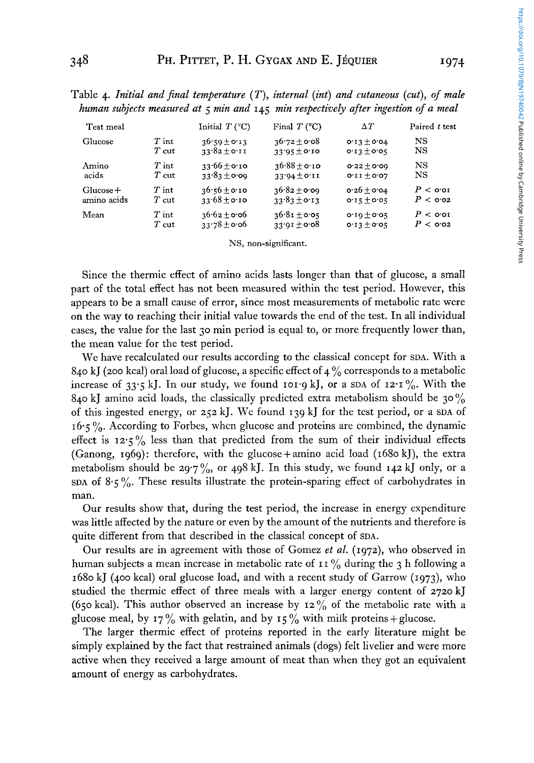| Test meal   |         | Initial $T$ ( $^{\circ}$ C) | Final $T$ (°C)   | $\Delta T$      | Paired t test                |
|-------------|---------|-----------------------------|------------------|-----------------|------------------------------|
| Glucose     | $T$ int | $36.59 \pm 0.13$            | $36.72 \pm 0.08$ | $0.13 \pm 0.04$ | <b>NS</b>                    |
|             | $T$ cut | $33.82 \pm 0.11$            | $33.95 \pm 0.10$ | $0.13 + 0.05$   | NS                           |
| Amino       | $T$ int | $33.66 \pm 0.10$            | $36.88 \pm 0.10$ | $0.22 + 0.00$   | NS                           |
| acids       | $T$ cut | $33.83 \pm 0.09$            | $33.94 \pm 0.11$ | $0.11 + 0.07$   | NS                           |
| $Glucose+$  | $T$ int | $36.56 \pm 0.10$            | $36.82 \pm 0.09$ | $0.26 + 0.04$   | $P <$ 0.01                   |
| amino acids | $T$ cut | $33.68 \pm 0.10$            | $33.83 \pm 0.13$ | $0.15 + 0.05$   | $P < \text{o}$ or $\text{o}$ |
| Mean        | $T$ int | $36.62 \pm 0.06$            | $36.81 \pm 0.05$ | $0.19 \pm 0.05$ | $P <$ 0.01                   |
|             | $T$ cut | $33.78 \pm 0.06$            | 33.91 ± 0.08     | $0.13 + 0.05$   | $P < \text{o}$ o 2           |

Table **4.** *Initial and jinal temperature (T), internal (int) and cutaneous (cut), of male human subjects measured at 5 min and* 145 *min respectively after ingestion of a meal* 

NS, non-significant.

Since the thermic effect of amino acids lasts longer than that of glucose, a small part of the total effect has not been measured within the test period. However, this appears to be a small cause of error, since most measurements of metabolic rate were on the way to reaching their initial value towards the end of the test. In all individual cases, the value for the last 30 min period is equal to, or more frequently lower than, the mean value for the test period.

We have recalculated our results according to the classical concept for SDA. With a 840 kJ (200 kcal) oral load of glucose, **a** specific effect of **4** % corresponds to a metabolic increase of  $33.5$  kJ. In our study, we found  $101.9$  kJ, or a sDA of  $12.1\%$ . With the **840 kJ** amino acid loads, the classically predicted extra metabolism should be **30%**  of this ingested energy, or 252 kJ. We found **139** kJ for the test period, or a SDA of **16.5 yo.** According to Forbes, when glucose and proteins are combined, the dynamic effect is  $12.5\%$  less than that predicted from the sum of their individual effects (Ganong, **1969):** therefore, with the glucose+amino acid load (1680 kJ), the extra metabolism should be **29.7** %, or **498** kJ. In this study, wc found **142** kJ only, or a SDA of  $8.5\%$ . These results illustrate the protein-sparing effect of carbohydrates in man.

Our results show that, during the test period, the increase in energy expenditure was little affected by the nature or even by the amount of the nutrients and therefore is quite different from that described in the classical concept of **SDA.** 

Our results are in agreement with those of Gomez *et al.* **(1g72),** who observed in human subjects a mean increase in metabolic rate of 11% during the 3 h following a 1680 **kJ (400** kcal) oral glucose load, and with a recent study of Garrow **(1973),** who studied the thermic effect of three meals with a larger energy content of **2720** kJ (650 kcal). This author observed an increase by **12%** of the metabolic rate with a glucose meal, by  $17\%$  with gelatin, and by  $15\%$  with milk proteins + glucose.

The larger thermic effect of proteins reported in the early literature might be simply explained by the fact that restrained animals (dogs) felt livelier and were more active when they received a large amount of meat than when they got an equivalent amount of energy as carbohydrates.